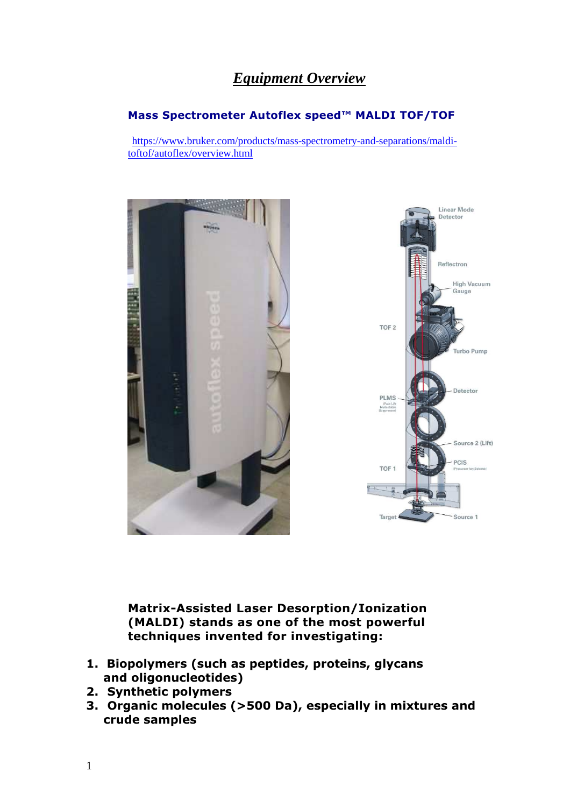## *Equipment Overview*

## **Mass Spectrometer Autoflex speed™ MALDI TOF/TOF**

https://www.bruker.com/products/mass-spectrometry-and-separations/malditoftof/autoflex/overview.html



**Matrix-Assisted Laser Desorption/Ionization (MALDI) stands as one of the most powerful techniques invented for investigating:** 

- **1. Biopolymers (such as peptides, proteins, glycans and oligonucleotides)**
- **2. Synthetic polymers**
- **3. Organic molecules (>500 Da), especially in mixtures and crude samples**